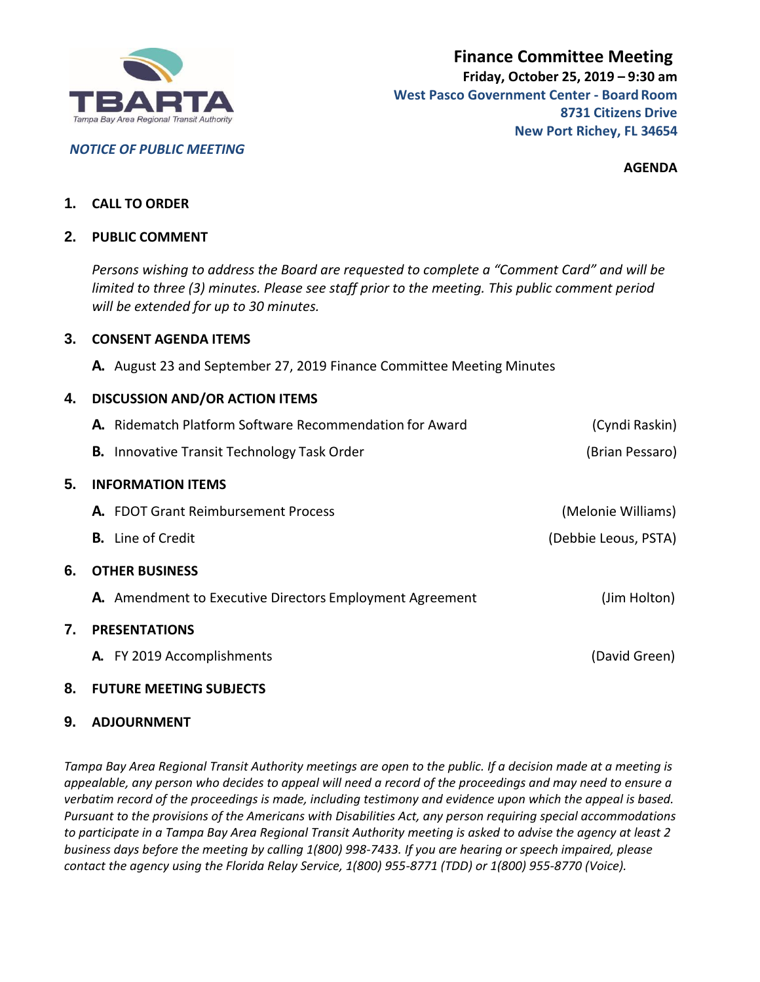

*NOTICE OF PUBLIC MEETING*

**AGENDA**

## **1. CALL TO ORDER**

#### **2. PUBLIC COMMENT**

*Persons wishing to address the Board are requested to complete a "Comment Card" and will be limited to three (3) minutes. Please see staff prior to the meeting. This public comment period will be extended for up to 30 minutes.*

## **3. CONSENT AGENDA ITEMS**

**A.** August 23 and September 27, 2019 Finance Committee Meeting Minutes

## **4. DISCUSSION AND/OR ACTION ITEMS**

|    | A. Ridematch Platform Software Recommendation for Award         | (Cyndi Raskin)       |
|----|-----------------------------------------------------------------|----------------------|
|    | <b>B.</b> Innovative Transit Technology Task Order              | (Brian Pessaro)      |
| 5. | <b>INFORMATION ITEMS</b>                                        |                      |
|    | <b>A.</b> FDOT Grant Reimbursement Process                      | (Melonie Williams)   |
|    | <b>B.</b> Line of Credit                                        | (Debbie Leous, PSTA) |
| 6. | <b>OTHER BUSINESS</b>                                           |                      |
|    | <b>A.</b> Amendment to Executive Directors Employment Agreement | (Jim Holton)         |
| 7. | <b>PRESENTATIONS</b>                                            |                      |
|    | A. FY 2019 Accomplishments                                      | (David Green)        |
|    |                                                                 |                      |

# **8. FUTURE MEETING SUBJECTS**

#### **9. ADJOURNMENT**

*Tampa Bay Area Regional Transit Authority meetings are open to the public. If a decision made at a meeting is appealable, any person who decides to appeal will need a record of the proceedings and may need to ensure a verbatim record of the proceedings is made, including testimony and evidence upon which the appeal is based. Pursuant to the provisions of the Americans with Disabilities Act, any person requiring special accommodations to participate in a Tampa Bay Area Regional Transit Authority meeting is asked to advise the agency at least 2 business days before the meeting by calling 1(800) 998-7433. If you are hearing or speech impaired, please contact the agency using the Florida Relay Service, 1(800) 955-8771 (TDD) or 1(800) 955-8770 (Voice).*